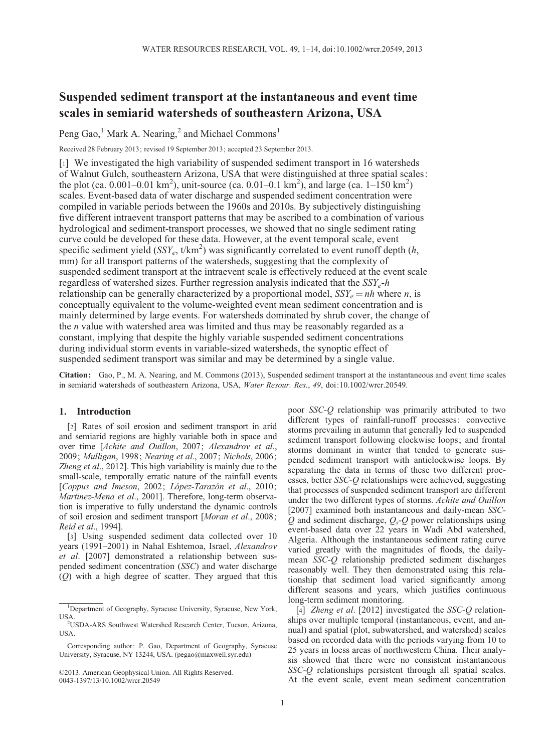# Suspended sediment transport at the instantaneous and event time scales in semiarid watersheds of southeastern Arizona, USA

Peng Gao,<sup>1</sup> Mark A. Nearing,<sup>2</sup> and Michael Commons<sup>1</sup>

Received 28 February 2013; revised 19 September 2013; accepted 23 September 2013.

[1] We investigated the high variability of suspended sediment transport in 16 watersheds of Walnut Gulch, southeastern Arizona, USA that were distinguished at three spatial scales: the plot (ca. 0.001–0.01 km<sup>2</sup>), unit-source (ca. 0.01–0.1 km<sup>2</sup>), and large (ca. 1–150 km<sup>2</sup>) scales. Event-based data of water discharge and suspended sediment concentration were compiled in variable periods between the 1960s and 2010s. By subjectively distinguishing five different intraevent transport patterns that may be ascribed to a combination of various hydrological and sediment-transport processes, we showed that no single sediment rating curve could be developed for these data. However, at the event temporal scale, event specific sediment yield  $(SSY_e, t/km^2)$  was significantly correlated to event runoff depth  $(h,$ mm) for all transport patterns of the watersheds, suggesting that the complexity of suspended sediment transport at the intraevent scale is effectively reduced at the event scale regardless of watershed sizes. Further regression analysis indicated that the  $SSY_e-h$ relationship can be generally characterized by a proportional model,  $SSY_e = nh$  where n, is conceptually equivalent to the volume-weighted event mean sediment concentration and is mainly determined by large events. For watersheds dominated by shrub cover, the change of the *n* value with watershed area was limited and thus may be reasonably regarded as a constant, implying that despite the highly variable suspended sediment concentrations during individual storm events in variable-sized watersheds, the synoptic effect of suspended sediment transport was similar and may be determined by a single value.

Citation : Gao, P., M. A. Nearing, and M. Commons (2013), Suspended sediment transport at the instantaneous and event time scales in semiarid watersheds of southeastern Arizona, USA, Water Resour. Res., 49, doi:10.1002/wrcr.20549.

# 1. Introduction

[2] Rates of soil erosion and sediment transport in arid and semiarid regions are highly variable both in space and over time [Achite and Ouillon, 2007; Alexandrov et al., 2009; Mulligan, 1998; Nearing et al., 2007; Nichols, 2006; Zheng et al., 2012]. This high variability is mainly due to the small-scale, temporally erratic nature of the rainfall events [Coppus and Imeson, 2002; López-Tarazón et al., 2010; Martinez-Mena et al., 2001]. Therefore, long-term observation is imperative to fully understand the dynamic controls of soil erosion and sediment transport [Moran et al., 2008; Reid et al., 1994].

[3] Using suspended sediment data collected over 10 years (1991-2001) in Nahal Eshtemoa, Israel, Alexandrov et al. [2007] demonstrated a relationship between suspended sediment concentration (SSC) and water discharge (Q) with a high degree of scatter. They argued that this

poor SSC-Q relationship was primarily attributed to two different types of rainfall-runoff processes: convective storms prevailing in autumn that generally led to suspended sediment transport following clockwise loops; and frontal storms dominant in winter that tended to generate suspended sediment transport with anticlockwise loops. By separating the data in terms of these two different processes, better SSC-Q relationships were achieved, suggesting that processes of suspended sediment transport are different under the two different types of storms. Achite and Ouillon [2007] examined both instantaneous and daily-mean SSC- $Q$  and sediment discharge,  $Q_s - Q$  power relationships using event-based data over 22 years in Wadi Abd watershed, Algeria. Although the instantaneous sediment rating curve varied greatly with the magnitudes of floods, the dailymean SSC-Q relationship predicted sediment discharges reasonably well. They then demonstrated using this relationship that sediment load varied significantly among different seasons and years, which justifies continuous long-term sediment monitoring.

[4] Zheng et al. [2012] investigated the SSC-Q relationships over multiple temporal (instantaneous, event, and annual) and spatial (plot, subwatershed, and watershed) scales based on recorded data with the periods varying from 10 to 25 years in loess areas of northwestern China. Their analysis showed that there were no consistent instantaneous SSC-Q relationships persistent through all spatial scales. At the event scale, event mean sediment concentration

<sup>&</sup>lt;sup>1</sup>Department of Geography, Syracuse University, Syracuse, New York, USA. <sup>2</sup>

USDA-ARS Southwest Watershed Research Center, Tucson, Arizona, USA.

Corresponding author: P. Gao, Department of Geography, Syracuse University, Syracuse, NY 13244, USA. (pegao@maxwell.syr.edu)

<sup>©</sup>2013. American Geophysical Union. All Rights Reserved. 0043-1397/13/10.1002/wrcr.20549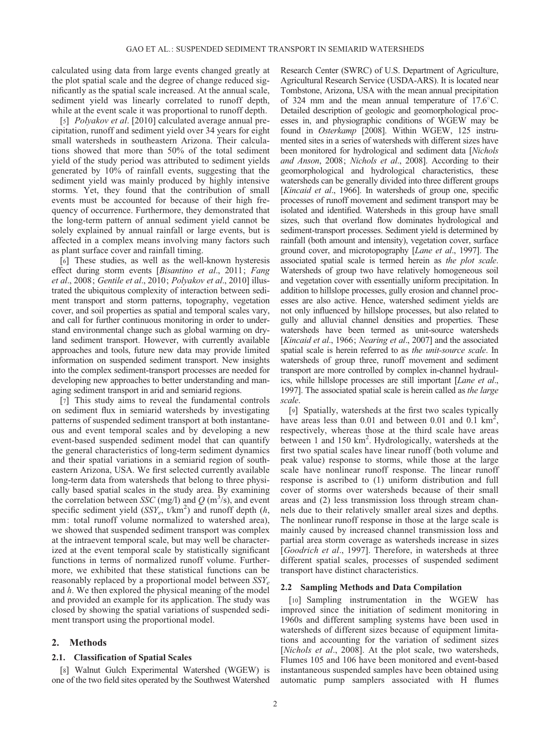calculated using data from large events changed greatly at the plot spatial scale and the degree of change reduced significantly as the spatial scale increased. At the annual scale, sediment yield was linearly correlated to runoff depth, while at the event scale it was proportional to runoff depth.

[5] *Polyakov et al.* [2010] calculated average annual precipitation, runoff and sediment yield over 34 years for eight small watersheds in southeastern Arizona. Their calculations showed that more than 50% of the total sediment yield of the study period was attributed to sediment yields generated by 10% of rainfall events, suggesting that the sediment yield was mainly produced by highly intensive storms. Yet, they found that the contribution of small events must be accounted for because of their high frequency of occurrence. Furthermore, they demonstrated that the long-term pattern of annual sediment yield cannot be solely explained by annual rainfall or large events, but is affected in a complex means involving many factors such as plant surface cover and rainfall timing.

[6] These studies, as well as the well-known hysteresis effect during storm events [Bisantino et al., 2011; Fang et al., 2008; Gentile et al., 2010; Polyakov et al., 2010] illustrated the ubiquitous complexity of interaction between sediment transport and storm patterns, topography, vegetation cover, and soil properties as spatial and temporal scales vary, and call for further continuous monitoring in order to understand environmental change such as global warming on dryland sediment transport. However, with currently available approaches and tools, future new data may provide limited information on suspended sediment transport. New insights into the complex sediment-transport processes are needed for developing new approaches to better understanding and managing sediment transport in arid and semiarid regions.

[7] This study aims to reveal the fundamental controls on sediment flux in semiarid watersheds by investigating patterns of suspended sediment transport at both instantaneous and event temporal scales and by developing a new event-based suspended sediment model that can quantify the general characteristics of long-term sediment dynamics and their spatial variations in a semiarid region of southeastern Arizona, USA. We first selected currently available long-term data from watersheds that belong to three physically based spatial scales in the study area. By examining the correlation between SSC (mg/l) and Q (m<sup>3</sup>/s), and event specific sediment yield  $(SSY_e, t/km^2)$  and runoff depth  $(h,$ mm: total runoff volume normalized to watershed area), we showed that suspended sediment transport was complex at the intraevent temporal scale, but may well be characterized at the event temporal scale by statistically significant functions in terms of normalized runoff volume. Furthermore, we exhibited that these statistical functions can be reasonably replaced by a proportional model between  $SSY_e$ and h. We then explored the physical meaning of the model and provided an example for its application. The study was closed by showing the spatial variations of suspended sediment transport using the proportional model.

# 2. Methods

### 2.1. Classification of Spatial Scales

[8] Walnut Gulch Experimental Watershed (WGEW) is one of the two field sites operated by the Southwest Watershed Research Center (SWRC) of U.S. Department of Agriculture, Agricultural Research Service (USDA-ARS). It is located near Tombstone, Arizona, USA with the mean annual precipitation of 324 mm and the mean annual temperature of  $17.6^{\circ}$ C. Detailed description of geologic and geomorphological processes in, and physiographic conditions of WGEW may be found in Osterkamp [2008]. Within WGEW, 125 instrumented sites in a series of watersheds with different sizes have been monitored for hydrological and sediment data [Nichols and Anson, 2008; Nichols et al., 2008]. According to their geomorphological and hydrological characteristics, these watersheds can be generally divided into three different groups [Kincaid et al., 1966]. In watersheds of group one, specific processes of runoff movement and sediment transport may be isolated and identified. Watersheds in this group have small sizes, such that overland flow dominates hydrological and sediment-transport processes. Sediment yield is determined by rainfall (both amount and intensity), vegetation cover, surface ground cover, and microtopography [Lane et al., 1997]. The associated spatial scale is termed herein as the plot scale. Watersheds of group two have relatively homogeneous soil and vegetation cover with essentially uniform precipitation. In addition to hillslope processes, gully erosion and channel processes are also active. Hence, watershed sediment yields are not only influenced by hillslope processes, but also related to gully and alluvial channel densities and properties. These watersheds have been termed as unit-source watersheds [Kincaid et al., 1966; Nearing et al., 2007] and the associated spatial scale is herein referred to as the unit-source scale. In watersheds of group three, runoff movement and sediment transport are more controlled by complex in-channel hydraulics, while hillslope processes are still important [Lane et al., 1997]. The associated spatial scale is herein called as the large scale.

[9] Spatially, watersheds at the first two scales typically have areas less than 0.01 and between 0.01 and  $0.\overline{1}$  km<sup>2</sup>, respectively, whereas those at the third scale have areas between 1 and 150 km<sup>2</sup>. Hydrologically, watersheds at the first two spatial scales have linear runoff (both volume and peak value) response to storms, while those at the large scale have nonlinear runoff response. The linear runoff response is ascribed to (1) uniform distribution and full cover of storms over watersheds because of their small areas and (2) less transmission loss through stream channels due to their relatively smaller areal sizes and depths. The nonlinear runoff response in those at the large scale is mainly caused by increased channel transmission loss and partial area storm coverage as watersheds increase in sizes [Goodrich et al., 1997]. Therefore, in watersheds at three different spatial scales, processes of suspended sediment transport have distinct characteristics.

#### 2.2 Sampling Methods and Data Compilation

[10] Sampling instrumentation in the WGEW has improved since the initiation of sediment monitoring in 1960s and different sampling systems have been used in watersheds of different sizes because of equipment limitations and accounting for the variation of sediment sizes [Nichols et al., 2008]. At the plot scale, two watersheds, Flumes 105 and 106 have been monitored and event-based instantaneous suspended samples have been obtained using automatic pump samplers associated with H flumes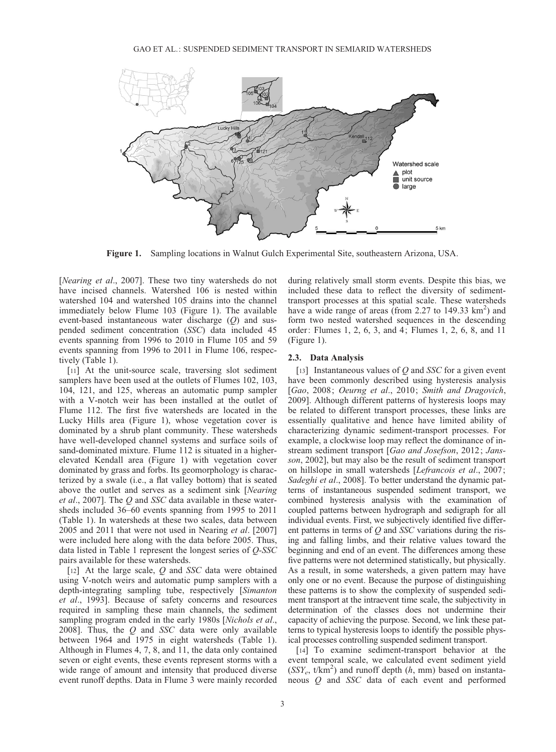

Figure 1. Sampling locations in Walnut Gulch Experimental Site, southeastern Arizona, USA.

[Nearing et al., 2007]. These two tiny watersheds do not have incised channels. Watershed 106 is nested within watershed 104 and watershed 105 drains into the channel immediately below Flume 103 (Figure 1). The available event-based instantaneous water discharge  $(Q)$  and suspended sediment concentration (SSC) data included 45 events spanning from 1996 to 2010 in Flume 105 and 59 events spanning from 1996 to 2011 in Flume 106, respectively (Table 1).

[11] At the unit-source scale, traversing slot sediment samplers have been used at the outlets of Flumes 102, 103, 104, 121, and 125, whereas an automatic pump sampler with a V-notch weir has been installed at the outlet of Flume 112. The first five watersheds are located in the Lucky Hills area (Figure 1), whose vegetation cover is dominated by a shrub plant community. These watersheds have well-developed channel systems and surface soils of sand-dominated mixture. Flume 112 is situated in a higherelevated Kendall area (Figure 1) with vegetation cover dominated by grass and forbs. Its geomorphology is characterized by a swale (i.e., a flat valley bottom) that is seated above the outlet and serves as a sediment sink [Nearing] et al., 2007]. The  $Q$  and SSC data available in these watersheds included 36–60 events spanning from 1995 to 2011 (Table 1). In watersheds at these two scales, data between 2005 and 2011 that were not used in Nearing et al. [2007] were included here along with the data before 2005. Thus, data listed in Table 1 represent the longest series of Q-SSC pairs available for these watersheds.

[12] At the large scale,  $Q$  and SSC data were obtained using V-notch weirs and automatic pump samplers with a depth-integrating sampling tube, respectively [Simanton et al., 1993]. Because of safety concerns and resources required in sampling these main channels, the sediment sampling program ended in the early 1980s [Nichols et al., 2008]. Thus, the  $Q$  and SSC data were only available between 1964 and 1975 in eight watersheds (Table 1). Although in Flumes 4, 7, 8, and 11, the data only contained seven or eight events, these events represent storms with a wide range of amount and intensity that produced diverse event runoff depths. Data in Flume 3 were mainly recorded

during relatively small storm events. Despite this bias, we included these data to reflect the diversity of sedimenttransport processes at this spatial scale. These watersheds have a wide range of areas (from 2.27 to 149.33  $\text{km}^2$ ) and form two nested watershed sequences in the descending order: Flumes 1, 2, 6, 3, and 4; Flumes 1, 2, 6, 8, and 11 (Figure 1).

### 2.3. Data Analysis

[13] Instantaneous values of  $Q$  and SSC for a given event have been commonly described using hysteresis analysis [Gao, 2008; Oeurng et al., 2010; Smith and Dragovich, 2009]. Although different patterns of hysteresis loops may be related to different transport processes, these links are essentially qualitative and hence have limited ability of characterizing dynamic sediment-transport processes. For example, a clockwise loop may reflect the dominance of instream sediment transport [Gao and Josefson, 2012; Jansson, 2002], but may also be the result of sediment transport on hillslope in small watersheds [Lefrancois et al., 2007; Sadeghi et al., 2008]. To better understand the dynamic patterns of instantaneous suspended sediment transport, we combined hysteresis analysis with the examination of coupled patterns between hydrograph and sedigraph for all individual events. First, we subjectively identified five different patterns in terms of  $Q$  and SSC variations during the rising and falling limbs, and their relative values toward the beginning and end of an event. The differences among these five patterns were not determined statistically, but physically. As a result, in some watersheds, a given pattern may have only one or no event. Because the purpose of distinguishing these patterns is to show the complexity of suspended sediment transport at the intraevent time scale, the subjectivity in determination of the classes does not undermine their capacity of achieving the purpose. Second, we link these patterns to typical hysteresis loops to identify the possible physical processes controlling suspended sediment transport.

[14] To examine sediment-transport behavior at the event temporal scale, we calculated event sediment yield  $(SSY_e, t/km<sup>2</sup>)$  and runoff depth (h, mm) based on instantaneous Q and SSC data of each event and performed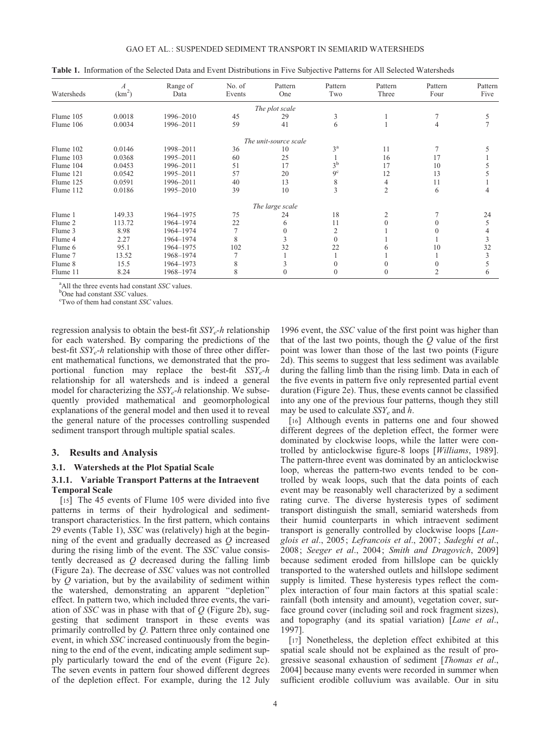| Watersheds | А<br>(km <sup>2</sup> ) | Range of<br>Data | No. of<br>Events | Pattern<br>One        | Pattern<br>Two | Pattern<br>Three | Pattern<br>Four | Pattern<br>Five |
|------------|-------------------------|------------------|------------------|-----------------------|----------------|------------------|-----------------|-----------------|
|            |                         |                  |                  | The plot scale        |                |                  |                 |                 |
| Flume 105  | 0.0018                  | 1996-2010        | 45               | 29                    | 3              |                  |                 | 5               |
| Flume 106  | 0.0034                  | 1996-2011        | 59               | 41                    | 6              |                  | 4               |                 |
|            |                         |                  |                  | The unit-source scale |                |                  |                 |                 |
| Flume 102  | 0.0146                  | 1998-2011        | 36               | 10                    | $3^a$          | 11               |                 |                 |
| Flume 103  | 0.0368                  | 1995-2011        | 60               | 25                    |                | 16               | 17              |                 |
| Flume 104  | 0.0453                  | 1996-2011        | 51               | 17                    | 3 <sup>b</sup> | 17               | 10              |                 |
| Flume 121  | 0.0542                  | 1995-2011        | 57               | 20                    | 9 <sup>c</sup> | 12               | 13              |                 |
| Flume 125  | 0.0591                  | 1996-2011        | 40               | 13                    | 8              | 4                | 11              |                 |
| Flume 112  | 0.0186                  | 1995-2010        | 39               | 10                    | 3              | $\overline{c}$   | 6               |                 |
|            |                         |                  |                  | The large scale       |                |                  |                 |                 |
| Flume 1    | 149.33                  | 1964-1975        | 75               | 24                    | 18             | 2                |                 | 24              |
| Flume 2    | 113.72                  | 1964-1974        | 22               | 6                     | 11             |                  |                 | C.              |
| Flume 3    | 8.98                    | 1964-1974        |                  |                       | 2              |                  |                 |                 |
| Flume 4    | 2.27                    | 1964-1974        | 8                | 3                     | 0              |                  |                 | 3               |
| Flume 6    | 95.1                    | 1964-1975        | 102              | 32                    | 22             | h                | 10              | 32              |
| Flume 7    | 13.52                   | 1968-1974        |                  |                       |                |                  |                 | 3               |
| Flume 8    | 15.5                    | 1964-1973        |                  |                       |                |                  |                 |                 |
| Flume 11   | 8.24                    | 1968-1974        |                  |                       |                |                  |                 |                 |

Table 1. Information of the Selected Data and Event Distributions in Five Subjective Patterns for All Selected Watersheds

 ${}^{a}$ All the three events had constant *SSC* values.

 $b$ One had constant SSC values.

<sup>c</sup>Two of them had constant SSC values.

regression analysis to obtain the best-fit  $SSY<sub>e</sub>$ -h relationship for each watershed. By comparing the predictions of the best-fit  $SSY_e$ -h relationship with those of three other different mathematical functions, we demonstrated that the proportional function may replace the best-fit  $SSY_e$ -h relationship for all watersheds and is indeed a general model for characterizing the  $SSY_e-h$  relationship. We subsequently provided mathematical and geomorphological explanations of the general model and then used it to reveal the general nature of the processes controlling suspended sediment transport through multiple spatial scales.

# 3. Results and Analysis

#### 3.1. Watersheds at the Plot Spatial Scale

# 3.1.1. Variable Transport Patterns at the Intraevent Temporal Scale

[15] The 45 events of Flume 105 were divided into five patterns in terms of their hydrological and sedimenttransport characteristics. In the first pattern, which contains 29 events (Table 1), SSC was (relatively) high at the beginning of the event and gradually decreased as Q increased during the rising limb of the event. The SSC value consistently decreased as  $Q$  decreased during the falling limb (Figure 2a). The decrease of SSC values was not controlled by  $Q$  variation, but by the availability of sediment within the watershed, demonstrating an apparent ''depletion'' effect. In pattern two, which included three events, the variation of SSC was in phase with that of  $Q$  (Figure 2b), suggesting that sediment transport in these events was primarily controlled by Q. Pattern three only contained one event, in which SSC increased continuously from the beginning to the end of the event, indicating ample sediment supply particularly toward the end of the event (Figure 2c). The seven events in pattern four showed different degrees of the depletion effect. For example, during the 12 July

1996 event, the SSC value of the first point was higher than that of the last two points, though the  $Q$  value of the first point was lower than those of the last two points (Figure 2d). This seems to suggest that less sediment was available during the falling limb than the rising limb. Data in each of the five events in pattern five only represented partial event duration (Figure 2e). Thus, these events cannot be classified into any one of the previous four patterns, though they still may be used to calculate  $SSY_e$  and h.

[16] Although events in patterns one and four showed different degrees of the depletion effect, the former were dominated by clockwise loops, while the latter were controlled by anticlockwise figure-8 loops [Williams, 1989]. The pattern-three event was dominated by an anticlockwise loop, whereas the pattern-two events tended to be controlled by weak loops, such that the data points of each event may be reasonably well characterized by a sediment rating curve. The diverse hysteresis types of sediment transport distinguish the small, semiarid watersheds from their humid counterparts in which intraevent sediment transport is generally controlled by clockwise loops [Langlois et al., 2005; Lefrancois et al., 2007; Sadeghi et al., 2008; Seeger et al., 2004; Smith and Dragovich, 2009] because sediment eroded from hillslope can be quickly transported to the watershed outlets and hillslope sediment supply is limited. These hysteresis types reflect the complex interaction of four main factors at this spatial scale: rainfall (both intensity and amount), vegetation cover, surface ground cover (including soil and rock fragment sizes), and topography (and its spatial variation) [Lane et al., 1997].

[17] Nonetheless, the depletion effect exhibited at this spatial scale should not be explained as the result of progressive seasonal exhaustion of sediment [Thomas et al., 2004] because many events were recorded in summer when sufficient erodible colluvium was available. Our in situ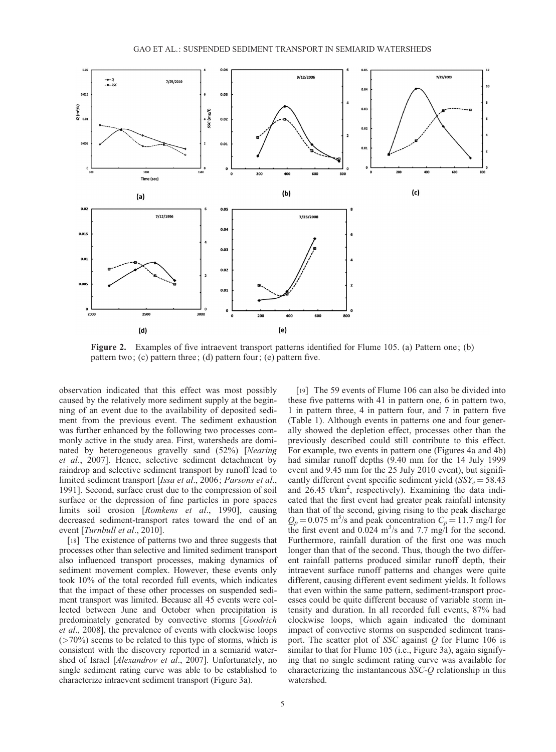

Figure 2. Examples of five intraevent transport patterns identified for Flume 105. (a) Pattern one; (b) pattern two; (c) pattern three; (d) pattern four; (e) pattern five.

observation indicated that this effect was most possibly caused by the relatively more sediment supply at the beginning of an event due to the availability of deposited sediment from the previous event. The sediment exhaustion was further enhanced by the following two processes commonly active in the study area. First, watersheds are dominated by heterogeneous gravelly sand (52%) [Nearing et al., 2007]. Hence, selective sediment detachment by raindrop and selective sediment transport by runoff lead to limited sediment transport [Issa et al., 2006; Parsons et al., 1991]. Second, surface crust due to the compression of soil surface or the depression of fine particles in pore spaces limits soil erosion [Romkens et al., 1990], causing decreased sediment-transport rates toward the end of an event [Turnbull et al., 2010].

[18] The existence of patterns two and three suggests that processes other than selective and limited sediment transport also influenced transport processes, making dynamics of sediment movement complex. However, these events only took 10% of the total recorded full events, which indicates that the impact of these other processes on suspended sediment transport was limited. Because all 45 events were collected between June and October when precipitation is predominately generated by convective storms [Goodrich et al., 2008], the prevalence of events with clockwise loops  $($ >70%) seems to be related to this type of storms, which is consistent with the discovery reported in a semiarid watershed of Israel [Alexandrov et al., 2007]. Unfortunately, no single sediment rating curve was able to be established to characterize intraevent sediment transport (Figure 3a).

[19] The 59 events of Flume 106 can also be divided into these five patterns with 41 in pattern one, 6 in pattern two, 1 in pattern three, 4 in pattern four, and 7 in pattern five (Table 1). Although events in patterns one and four generally showed the depletion effect, processes other than the previously described could still contribute to this effect. For example, two events in pattern one (Figures 4a and 4b) had similar runoff depths (9.40 mm for the 14 July 1999 event and 9.45 mm for the 25 July 2010 event), but significantly different event specific sediment yield  $(SSY_e = 58.43)$ and 26.45 t/km<sup>2</sup>, respectively). Examining the data indicated that the first event had greater peak rainfall intensity than that of the second, giving rising to the peak discharge  $Q_p = 0.075$  m<sup>3</sup>/s and peak concentration  $C_p = 11.7$  mg/l for the first event and  $0.024 \text{ m}^3/\text{s}$  and 7.7 mg/l for the second. Furthermore, rainfall duration of the first one was much longer than that of the second. Thus, though the two different rainfall patterns produced similar runoff depth, their intraevent surface runoff patterns and changes were quite different, causing different event sediment yields. It follows that even within the same pattern, sediment-transport processes could be quite different because of variable storm intensity and duration. In all recorded full events, 87% had clockwise loops, which again indicated the dominant impact of convective storms on suspended sediment transport. The scatter plot of SSC against  $Q$  for Flume 106 is similar to that for Flume 105 (i.e., Figure 3a), again signifying that no single sediment rating curve was available for characterizing the instantaneous SSC-Q relationship in this watershed.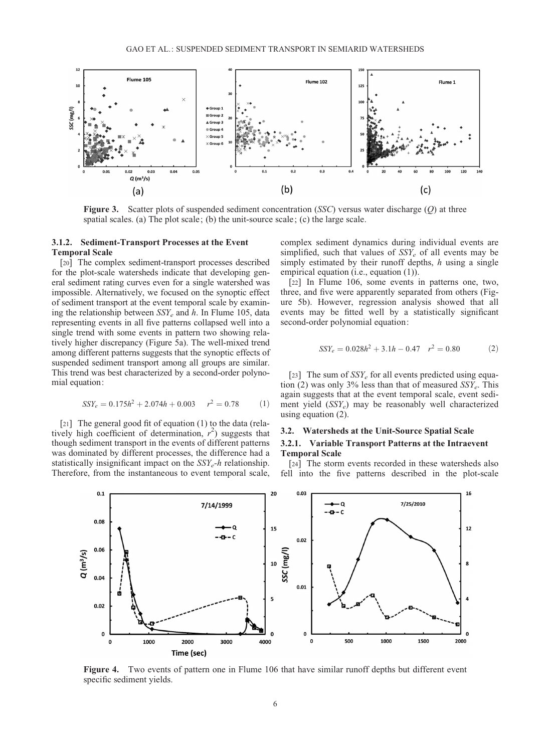

**Figure 3.** Scatter plots of suspended sediment concentration (SSC) versus water discharge  $(O)$  at three spatial scales. (a) The plot scale; (b) the unit-source scale; (c) the large scale.

### 3.1.2. Sediment-Transport Processes at the Event Temporal Scale

[20] The complex sediment-transport processes described for the plot-scale watersheds indicate that developing general sediment rating curves even for a single watershed was impossible. Alternatively, we focused on the synoptic effect of sediment transport at the event temporal scale by examining the relationship between  $SSY_e$  and h. In Flume 105, data representing events in all five patterns collapsed well into a single trend with some events in pattern two showing relatively higher discrepancy (Figure 5a). The well-mixed trend among different patterns suggests that the synoptic effects of suspended sediment transport among all groups are similar. This trend was best characterized by a second-order polynomial equation:

$$
SSY_e = 0.175h^2 + 2.074h + 0.003 \t r^2 = 0.78 \t (1)
$$

[21] The general good fit of equation (1) to the data (relatively high coefficient of determination,  $r^2$ ) suggests that though sediment transport in the events of different patterns was dominated by different processes, the difference had a statistically insignificant impact on the  $SSY_e$ -h relationship. Therefore, from the instantaneous to event temporal scale,

complex sediment dynamics during individual events are simplified, such that values of  $SSY_e$  of all events may be simply estimated by their runoff depths,  $h$  using a single empirical equation (i.e., equation (1)).

[22] In Flume 106, some events in patterns one, two, three, and five were apparently separated from others (Figure 5b). However, regression analysis showed that all events may be fitted well by a statistically significant second-order polynomial equation:

$$
SSY_e = 0.028h^2 + 3.1h - 0.47 \quad r^2 = 0.80 \tag{2}
$$

[23] The sum of  $SSY_e$  for all events predicted using equation (2) was only 3% less than that of measured  $SSY_e$ . This again suggests that at the event temporal scale, event sediment yield  $(SSY_e)$  may be reasonably well characterized using equation (2).

# 3.2. Watersheds at the Unit-Source Spatial Scale 3.2.1. Variable Transport Patterns at the Intraevent Temporal Scale

[24] The storm events recorded in these watersheds also fell into the five patterns described in the plot-scale



Figure 4. Two events of pattern one in Flume 106 that have similar runoff depths but different event specific sediment yields.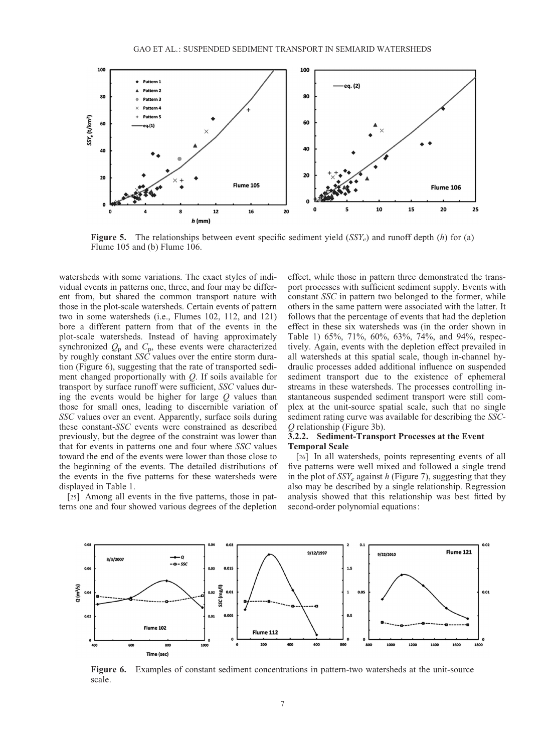

**Figure 5.** The relationships between event specific sediment yield  $(SSY_e)$  and runoff depth  $(h)$  for (a) Flume 105 and (b) Flume 106.

watersheds with some variations. The exact styles of individual events in patterns one, three, and four may be different from, but shared the common transport nature with those in the plot-scale watersheds. Certain events of pattern two in some watersheds (i.e., Flumes 102, 112, and 121) bore a different pattern from that of the events in the plot-scale watersheds. Instead of having approximately synchronized  $Q_p$  and  $C_p$ , these events were characterized by roughly constant SSC values over the entire storm duration (Figure 6), suggesting that the rate of transported sediment changed proportionally with Q. If soils available for transport by surface runoff were sufficient, SSC values during the events would be higher for large  $Q$  values than those for small ones, leading to discernible variation of SSC values over an event. Apparently, surface soils during these constant-SSC events were constrained as described previously, but the degree of the constraint was lower than that for events in patterns one and four where SSC values toward the end of the events were lower than those close to the beginning of the events. The detailed distributions of the events in the five patterns for these watersheds were displayed in Table 1.

[25] Among all events in the five patterns, those in patterns one and four showed various degrees of the depletion

effect, while those in pattern three demonstrated the transport processes with sufficient sediment supply. Events with constant SSC in pattern two belonged to the former, while others in the same pattern were associated with the latter. It follows that the percentage of events that had the depletion effect in these six watersheds was (in the order shown in Table 1) 65%, 71%, 60%, 63%, 74%, and 94%, respectively. Again, events with the depletion effect prevailed in all watersheds at this spatial scale, though in-channel hydraulic processes added additional influence on suspended sediment transport due to the existence of ephemeral streams in these watersheds. The processes controlling instantaneous suspended sediment transport were still complex at the unit-source spatial scale, such that no single sediment rating curve was available for describing the SSC-Q relationship (Figure 3b).

# 3.2.2. Sediment-Transport Processes at the Event Temporal Scale

[26] In all watersheds, points representing events of all five patterns were well mixed and followed a single trend in the plot of  $SSY_e$  against h (Figure 7), suggesting that they also may be described by a single relationship. Regression analysis showed that this relationship was best fitted by second-order polynomial equations:



Figure 6. Examples of constant sediment concentrations in pattern-two watersheds at the unit-source scale.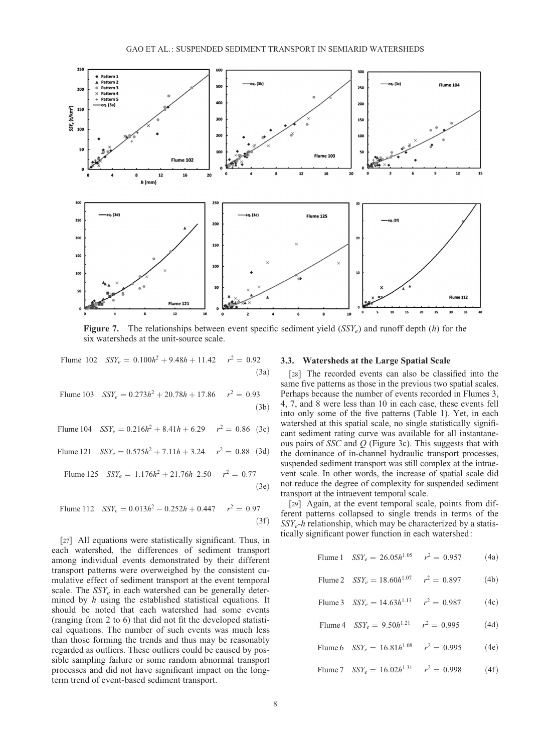

**Figure 7.** The relationships between event specific sediment yield  $(SSY_e)$  and runoff depth (h) for the six watersheds at the unit-source scale.

Flume 102  $SSY_e = 0.100h^2 + 9.48h + 11.42$   $r^2 = 0.92$  $(3a)$ 

Flume 103 
$$
SSY_e = 0.273h^2 + 20.78h + 17.86 \t r^2 = 0.93
$$
\n(3b)

Flume 104  $SSY_e = 0.216h^2 + 8.41h + 6.29$   $r^2 = 0.86$  (3c)

Flume 121  $SSY_e = 0.575h^2 + 7.11h + 3.24$   $r^2 = 0.88$  (3d)

Flume 125 
$$
SSY_e = 1.176h^2 + 21.76h - 2.50 \quad r^2 = 0.77
$$
\n(3e)

Flume 112 
$$
SSY_e = 0.013h^2 - 0.252h + 0.447 \qquad r^2 = 0.97
$$
\n(3f)

[27] All equations were statistically significant. Thus, in each watershed, the differences of sediment transport among individual events demonstrated by their different transport patterns were overweighed by the consistent cumulative effect of sediment transport at the event temporal scale. The  $SSY_e$  in each watershed can be generally determined by h using the established statistical equations. It should be noted that each watershed had some events (ranging from 2 to 6) that did not fit the developed statistical equations. The number of such events was much less than those forming the trends and thus may be reasonably regarded as outliers. These outliers could be caused by possible sampling failure or some random abnormal transport processes and did not have significant impact on the longterm trend of event-based sediment transport.

### 3.3. Watersheds at the Large Spatial Scale

[28] The recorded events can also be classified into the same five patterns as those in the previous two spatial scales. Perhaps because the number of events recorded in Flumes 3, 4, 7, and 8 were less than 10 in each case, these events fell into only some of the five patterns (Table 1). Yet, in each watershed at this spatial scale, no single statistically significant sediment rating curve was available for all instantaneous pairs of  $SSC$  and  $Q$  (Figure 3c). This suggests that with the dominance of in-channel hydraulic transport processes, suspended sediment transport was still complex at the intraevent scale. In other words, the increase of spatial scale did not reduce the degree of complexity for suspended sediment transport at the intraevent temporal scale.

[29] Again, at the event temporal scale, points from different patterns collapsed to single trends in terms of the  $SSY<sub>e</sub>$ -h relationship, which may be characterized by a statistically significant power function in each watershed:

Flume 1 
$$
SSY_e = 26.05h^{1.05} \qquad r^2 = 0.957 \tag{4a}
$$

|  | Flume 2 $SSY_e = 18.60h^{1.07}$ | $r^2 = 0.897$ | (4b) |
|--|---------------------------------|---------------|------|
|--|---------------------------------|---------------|------|

Flume 3 
$$
SSY_e = 14.63h^{1.13}
$$
  $r^2 = 0.987$  (4c)

Flume 4 
$$
SSY_e = 9.50h^{1.21} \qquad r^2 = 0.995 \tag{4d}
$$

Flume 6 
$$
SSY_e = 16.81h^{1.08}
$$
  $r^2 = 0.995$  (4e)

Flume 7 
$$
SSY_e = 16.02h^{1.31}
$$
  $r^2 = 0.998$  (4f)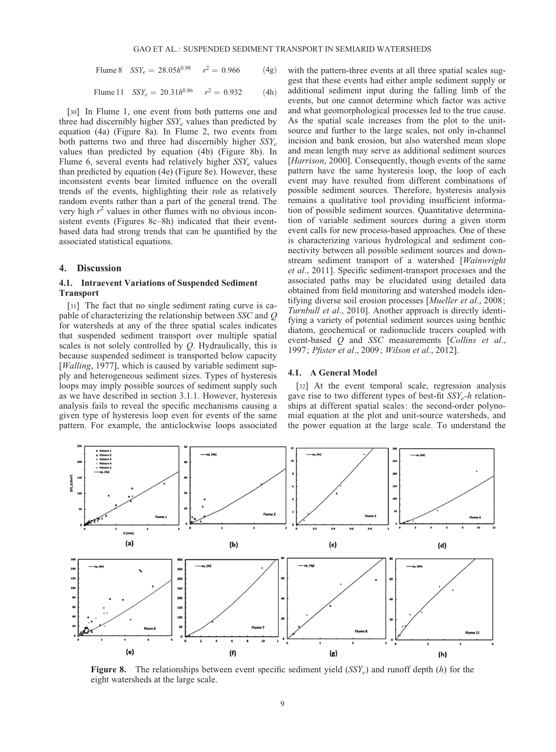Flume 8  $SSY_e = 28.05h^{0.98}$   $r^2 = 0.966$  (4g)

Flume 11 
$$
SST_e = 20.31h^{0.86} \quad r^2 = 0.932 \quad (4h)
$$

[30] In Flume 1, one event from both patterns one and three had discernibly higher  $SSY_e$  values than predicted by equation (4a) (Figure 8a). In Flume 2, two events from both patterns two and three had discernibly higher  $SSY_e$ values than predicted by equation (4b) (Figure 8b). In Flume 6, several events had relatively higher  $SSY_e$  values than predicted by equation (4e) (Figure 8e). However, these inconsistent events bear limited influence on the overall trends of the events, highlighting their role as relatively random events rather than a part of the general trend. The very high  $r^2$  values in other flumes with no obvious inconsistent events (Figures 8c–8h) indicated that their eventbased data had strong trends that can be quantified by the associated statistical equations.

# 4. Discussion

# 4.1. Intraevent Variations of Suspended Sediment Transport

[31] The fact that no single sediment rating curve is capable of characterizing the relationship between SSC and Q for watersheds at any of the three spatial scales indicates that suspended sediment transport over multiple spatial scales is not solely controlled by  $Q$ . Hydraulically, this is because suspended sediment is transported below capacity [*Walling*, 1977], which is caused by variable sediment supply and heterogeneous sediment sizes. Types of hysteresis loops may imply possible sources of sediment supply such as we have described in section 3.1.1. However, hysteresis analysis fails to reveal the specific mechanisms causing a given type of hysteresis loop even for events of the same pattern. For example, the anticlockwise loops associated

with the pattern-three events at all three spatial scales suggest that these events had either ample sediment supply or additional sediment input during the falling limb of the events, but one cannot determine which factor was active and what geomorphological processes led to the true cause. As the spatial scale increases from the plot to the unitsource and further to the large scales, not only in-channel incision and bank erosion, but also watershed mean slope and mean length may serve as additional sediment sources [*Harrison*, 2000]. Consequently, though events of the same pattern have the same hysteresis loop, the loop of each event may have resulted from different combinations of possible sediment sources. Therefore, hysteresis analysis remains a qualitative tool providing insufficient information of possible sediment sources. Quantitative determination of variable sediment sources during a given storm event calls for new process-based approaches. One of these is characterizing various hydrological and sediment connectivity between all possible sediment sources and downstream sediment transport of a watershed [Wainwright et al., 2011]. Specific sediment-transport processes and the associated paths may be elucidated using detailed data obtained from field monitoring and watershed models identifying diverse soil erosion processes [Mueller et al., 2008; Turnbull et al., 2010]. Another approach is directly identifying a variety of potential sediment sources using benthic diatom, geochemical or radionuclide tracers coupled with event-based Q and SSC measurements [Collins et al., 1997; Pfister et al., 2009; Wilson et al., 2012].

### 4.1. A General Model

[32] At the event temporal scale, regression analysis gave rise to two different types of best-fit  $SSY<sub>e</sub>$ -h relationships at different spatial scales: the second-order polynomial equation at the plot and unit-source watersheds, and the power equation at the large scale. To understand the



**Figure 8.** The relationships between event specific sediment yield  $(SSY<sub>e</sub>)$  and runoff depth (h) for the eight watersheds at the large scale.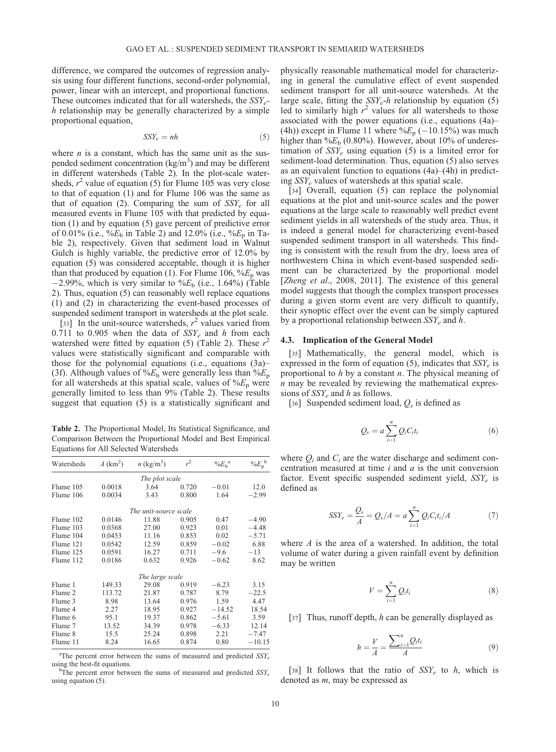difference, we compared the outcomes of regression analysis using four different functions, second-order polynomial, power, linear with an intercept, and proportional functions. These outcomes indicated that for all watersheds, the  $SSY_{e}$ h relationship may be generally characterized by a simple proportional equation,

$$
SSY_e = nh \tag{5}
$$

where  $n$  is a constant, which has the same unit as the suspended sediment concentration  $(kg/m<sup>3</sup>)$  and may be different in different watersheds (Table 2). In the plot-scale watersheds,  $r^2$  value of equation (5) for Flume 105 was very close to that of equation (1) and for Flume 106 was the same as that of equation (2). Comparing the sum of  $SSY_e$  for all measured events in Flume 105 with that predicted by equation (1) and by equation (5) gave percent of predictive error of 0.01% (i.e., % $E_b$  in Table 2) and 12.0% (i.e., % $E_p$  in Table 2), respectively. Given that sediment load in Walnut Gulch is highly variable, the predictive error of 12.0% by equation (5) was considered acceptable, though it is higher than that produced by equation (1). For Flume 106,  $\%E_p$  was  $-2.99\%$ , which is very similar to  $\%E_b$  (i.e., 1.64%) (Table 2). Thus, equation (5) can reasonably well replace equations (1) and (2) in characterizing the event-based processes of suspended sediment transport in watersheds at the plot scale.

[33] In the unit-source watersheds,  $r^2$  values varied from 0.711 to 0.905 when the data of  $SSY_e$  and h from each watershed were fitted by equation (5) (Table 2). These  $r^2$ values were statistically significant and comparable with those for the polynomial equations (i.e., equations (3a)– (3f). Although values of % $E<sub>b</sub>$  were generally less than % $E<sub>p</sub>$ for all watersheds at this spatial scale, values of  $\%E_p$  were generally limited to less than 9% (Table 2). These results suggest that equation (5) is a statistically significant and

Table 2. The Proportional Model, Its Statistical Significance, and Comparison Between the Proportional Model and Best Empirical Equations for All Selected Watersheds

| Watersheds            | $A$ (km <sup>2</sup> ) | $n$ (kg/m <sup>3</sup> ) | $r^2$ | $%Eb$ <sup>a</sup> | $\%E_{\rm p}^{\rm b}$ |  |  |  |  |
|-----------------------|------------------------|--------------------------|-------|--------------------|-----------------------|--|--|--|--|
| The plot scale        |                        |                          |       |                    |                       |  |  |  |  |
| Flume 105             | 0.0018                 | 3.64                     | 0.720 | $-0.01$            | 12.0                  |  |  |  |  |
| Flume 106             | 0.0034                 | 3.43                     | 0.800 | 1.64               | $-2.99$               |  |  |  |  |
| The unit-source scale |                        |                          |       |                    |                       |  |  |  |  |
| Flume 102             | 0.0146                 | 11.88                    | 0.905 | 0.47               | $-4.90$               |  |  |  |  |
| Flume 103             | 0.0368                 | 27.00                    | 0.923 | 0.01               | $-4.48$               |  |  |  |  |
| Flume 104             | 0.0453                 | 11.16                    | 0.853 | 0.02               | $-5.71$               |  |  |  |  |
| Flume 121             | 0.0542                 | 12.59                    | 0.859 | $-0.02$            | 6.88                  |  |  |  |  |
| Flume 125             | 0.0591                 | 16.27                    | 0.711 | $-9.6$             | $-13$                 |  |  |  |  |
| Flume 112             | 0.0186                 | 0.632                    | 0.926 | $-0.62$            | 8.62                  |  |  |  |  |
| The large scale       |                        |                          |       |                    |                       |  |  |  |  |
| Flume 1               | 149.33                 | 29.08                    | 0.919 | $-6.23$            | 3.15                  |  |  |  |  |
| Flume 2               | 113.72                 | 21.87                    | 0.787 | 8.79               | $-22.5$               |  |  |  |  |
| Flume 3               | 8.98                   | 13.64                    | 0.976 | 1.59               | 4.47                  |  |  |  |  |
| Flume 4               | 2.27                   | 18.95                    | 0.927 | $-14.52$           | 18.54                 |  |  |  |  |
| Flume 6               | 95.1                   | 19.37                    | 0.862 | $-5.61$            | 3.59                  |  |  |  |  |
| Flume 7               | 13.52                  | 34.39                    | 0.978 | $-6.33$            | 12.14                 |  |  |  |  |
| Flume 8               | 15.5                   | 25.24                    | 0.898 | 2.21               | $-7.47$               |  |  |  |  |
| Flume 11              | 8.24                   | 16.65                    | 0.874 | 0.80               | $-10.15$              |  |  |  |  |

<sup>a</sup>The percent error between the sums of measured and predicted  $SSY_e$ using the best-fit equations. <sup>b</sup>

<sup>b</sup>The percent error between the sums of measured and predicted  $SSY_e$ using equation (5).

physically reasonable mathematical model for characterizing in general the cumulative effect of event suspended sediment transport for all unit-source watersheds. At the large scale, fitting the  $SSY_e-h$  relationship by equation (5) led to similarly high  $r^2$  values for all watersheds to those associated with the power equations (i.e., equations (4a)– (4h)) except in Flume 11 where  $\frac{6}{5}$  (-10.15%) was much higher than % $E<sub>b</sub>$  (0.80%). However, about 10% of underestimation of  $SSY_e$  using equation (5) is a limited error for sediment-load determination. Thus, equation (5) also serves as an equivalent function to equations (4a)–(4h) in predicting SSY<sub>e</sub> values of watersheds at this spatial scale.

[34] Overall, equation (5) can replace the polynomial equations at the plot and unit-source scales and the power equations at the large scale to reasonably well predict event sediment yields in all watersheds of the study area. Thus, it is indeed a general model for characterizing event-based suspended sediment transport in all watersheds. This finding is consistent with the result from the dry, loess area of northwestern China in which event-based suspended sediment can be characterized by the proportional model [Zheng et al., 2008, 2011]. The existence of this general model suggests that though the complex transport processes during a given storm event are very difficult to quantify, their synoptic effect over the event can be simply captured by a proportional relationship between  $SSY_e$  and h.

### 4.3. Implication of the General Model

[35] Mathematically, the general model, which is expressed in the form of equation (5), indicates that  $SSY_e$  is proportional to  $h$  by a constant  $n$ . The physical meaning of n may be revealed by reviewing the mathematical expressions of  $SSY_e$  and h as follows.

[36] Suspended sediment load,  $Q_s$  is defined as

$$
Q_s = a \sum_{i=1}^{n} Q_i C_i t_i \tag{6}
$$

where  $Q_i$  and  $C_i$  are the water discharge and sediment concentration measured at time  $i$  and  $a$  is the unit conversion factor. Event specific suspended sediment yield,  $SSY_e$  is defined as

$$
SSY_e = \frac{Q_s}{A} = Q_s/A = a \sum_{i=1}^{n} Q_i C_i t_i/A
$$
 (7)

where  $A$  is the area of a watershed. In addition, the total volume of water during a given rainfall event by definition may be written

$$
V = \sum_{i=1}^{n} Q_i t_i \tag{8}
$$

[37] Thus, runoff depth, h can be generally displayed as

$$
h = \frac{V}{A} = \frac{\sum_{i=1}^{n} Q_i t_i}{A}
$$
(9)

[38] It follows that the ratio of  $SSY_e$  to h, which is denoted as m, may be expressed as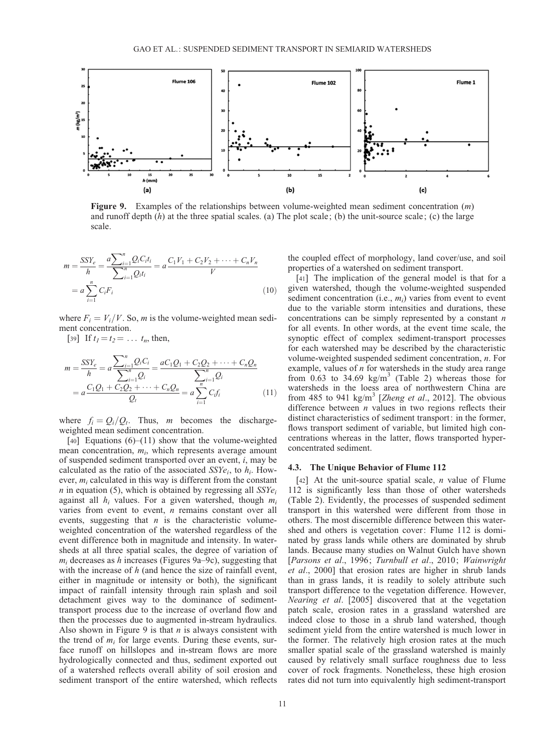

**Figure 9.** Examples of the relationships between volume-weighted mean sediment concentration  $(m)$ and runoff depth  $(h)$  at the three spatial scales. (a) The plot scale; (b) the unit-source scale; (c) the large scale.

$$
m = \frac{SSY_e}{h} = \frac{a\sum_{i=1}^{n}Q_iC_it_i}{\sum_{i=1}^{n}Q_it_i} = a\frac{C_1V_1 + C_2V_2 + \dots + C_nV_n}{V}
$$
  
=  $a\sum_{i=1}^{n}C_iF_i$  (10)

where  $F_i = V_i/V$ . So, *m* is the volume-weighted mean sediment concentration.

[39] If  $t_1 = t_2 = \ldots t_n$ , then,

$$
m = \frac{SSY_e}{h} = a \frac{\sum_{i=1}^{n} Q_i C_i}{\sum_{i=1}^{n} Q_i} = \frac{aC_1 Q_1 + C_2 Q_2 + \dots + C_n Q_n}{\sum_{i=1}^{n} Q_i}
$$

$$
= a \frac{C_1 Q_1 + C_2 Q_2 + \dots + C_n Q_n}{Q_t} = a \sum_{i=1}^{n} C_i f_i
$$
(11)

where  $f_i = Q_i/Q_t$ . Thus, *m* becomes the dischargeweighted mean sediment concentration.

[40] Equations  $(6)$ – $(11)$  show that the volume-weighted mean concentration,  $m_i$ , which represents average amount of suspended sediment transported over an event, i, may be calculated as the ratio of the associated  $SSYe_i$ , to  $h_i$ . However,  $m_i$  calculated in this way is different from the constant  $n$  in equation (5), which is obtained by regressing all  $SSYe_i$ against all  $h_i$  values. For a given watershed, though  $m_i$ varies from event to event,  $n$  remains constant over all events, suggesting that  $n$  is the characteristic volumeweighted concentration of the watershed regardless of the event difference both in magnitude and intensity. In watersheds at all three spatial scales, the degree of variation of  $m_i$  decreases as h increases (Figures 9a–9c), suggesting that with the increase of  $h$  (and hence the size of rainfall event, either in magnitude or intensity or both), the significant impact of rainfall intensity through rain splash and soil detachment gives way to the dominance of sedimenttransport process due to the increase of overland flow and then the processes due to augmented in-stream hydraulics. Also shown in Figure 9 is that  $n$  is always consistent with the trend of  $m_i$  for large events. During these events, surface runoff on hillslopes and in-stream flows are more hydrologically connected and thus, sediment exported out of a watershed reflects overall ability of soil erosion and sediment transport of the entire watershed, which reflects

the coupled effect of morphology, land cover/use, and soil properties of a watershed on sediment transport.

[41] The implication of the general model is that for a given watershed, though the volume-weighted suspended sediment concentration (i.e.,  $m_i$ ) varies from event to event due to the variable storm intensities and durations, these concentrations can be simply represented by a constant  $n$ for all events. In other words, at the event time scale, the synoptic effect of complex sediment-transport processes for each watershed may be described by the characteristic volume-weighted suspended sediment concentration, n. For example, values of  $n$  for watersheds in the study area range from 0.63 to 34.69 kg/m<sup>3</sup> (Table 2) whereas those for watersheds in the loess area of northwestern China are from 485 to 941 kg/m<sup>3</sup> [*Zheng et al.*, 2012]. The obvious difference between  $n$  values in two regions reflects their distinct characteristics of sediment transport: in the former, flows transport sediment of variable, but limited high concentrations whereas in the latter, flows transported hyperconcentrated sediment.

### 4.3. The Unique Behavior of Flume 112

[42] At the unit-source spatial scale,  $n$  value of Flume 112 is significantly less than those of other watersheds (Table 2). Evidently, the processes of suspended sediment transport in this watershed were different from those in others. The most discernible difference between this watershed and others is vegetation cover: Flume 112 is dominated by grass lands while others are dominated by shrub lands. Because many studies on Walnut Gulch have shown [Parsons et al., 1996; Turnbull et al., 2010; Wainwright et al., 2000] that erosion rates are higher in shrub lands than in grass lands, it is readily to solely attribute such transport difference to the vegetation difference. However, Nearing et al. [2005] discovered that at the vegetation patch scale, erosion rates in a grassland watershed are indeed close to those in a shrub land watershed, though sediment yield from the entire watershed is much lower in the former. The relatively high erosion rates at the much smaller spatial scale of the grassland watershed is mainly caused by relatively small surface roughness due to less cover of rock fragments. Nonetheless, these high erosion rates did not turn into equivalently high sediment-transport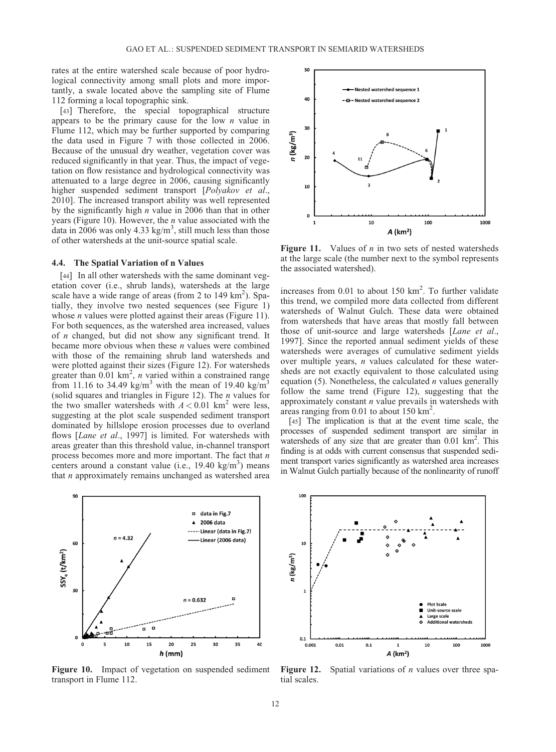rates at the entire watershed scale because of poor hydrological connectivity among small plots and more importantly, a swale located above the sampling site of Flume 112 forming a local topographic sink.

[43] Therefore, the special topographical structure appears to be the primary cause for the low  $n$  value in Flume 112, which may be further supported by comparing the data used in Figure 7 with those collected in 2006. Because of the unusual dry weather, vegetation cover was reduced significantly in that year. Thus, the impact of vegetation on flow resistance and hydrological connectivity was attenuated to a large degree in 2006, causing significantly higher suspended sediment transport [Polyakov et al., 2010]. The increased transport ability was well represented by the significantly high  $n$  value in 2006 than that in other years (Figure 10). However, the  $n$  value associated with the data in 2006 was only 4.33 kg/m<sup>3</sup>, still much less than those of other watersheds at the unit-source spatial scale.

### 4.4. The Spatial Variation of n Values

[44] In all other watersheds with the same dominant vegetation cover (i.e., shrub lands), watersheds at the large scale have a wide range of areas (from 2 to  $149 \text{ km}^2$ ). Spatially, they involve two nested sequences (see Figure 1) whose *n* values were plotted against their areas (Figure 11). For both sequences, as the watershed area increased, values of n changed, but did not show any significant trend. It became more obvious when these  $n$  values were combined with those of the remaining shrub land watersheds and were plotted against their sizes (Figure 12). For watersheds greater than  $0.01 \text{ km}^2$ , *n* varied within a constrained range from 11.16 to 34.49 kg/m<sup>3</sup> with the mean of 19.40 kg/m<sup>3</sup> (solid squares and triangles in Figure 12). The  $n$  values for the two smaller watersheds with  $A < 0.01$  km<sup>2</sup> were less, suggesting at the plot scale suspended sediment transport dominated by hillslope erosion processes due to overland flows [Lane et al., 1997] is limited. For watersheds with areas greater than this threshold value, in-channel transport process becomes more and more important. The fact that  $n$ centers around a constant value (i.e., 19.40 kg/m<sup>3</sup>) means that  $n$  approximately remains unchanged as watershed area



Figure 10. Impact of vegetation on suspended sediment transport in Flume 112.



Figure 11. Values of  $n$  in two sets of nested watersheds at the large scale (the number next to the symbol represents the associated watershed).

increases from  $0.01$  to about 150 km<sup>2</sup>. To further validate this trend, we compiled more data collected from different watersheds of Walnut Gulch. These data were obtained from watersheds that have areas that mostly fall between those of unit-source and large watersheds [Lane et al., 1997]. Since the reported annual sediment yields of these watersheds were averages of cumulative sediment yields over multiple years, *n* values calculated for these watersheds are not exactly equivalent to those calculated using equation  $(5)$ . Nonetheless, the calculated *n* values generally follow the same trend (Figure 12), suggesting that the approximately constant  $n$  value prevails in watersheds with areas ranging from 0.01 to about 150 km<sup>2</sup>.

[45] The implication is that at the event time scale, the processes of suspended sediment transport are similar in watersheds of any size that are greater than  $0.01 \text{ km}^2$ . This finding is at odds with current consensus that suspended sediment transport varies significantly as watershed area increases in Walnut Gulch partially because of the nonlinearity of runoff



Figure 12. Spatial variations of  $n$  values over three spatial scales.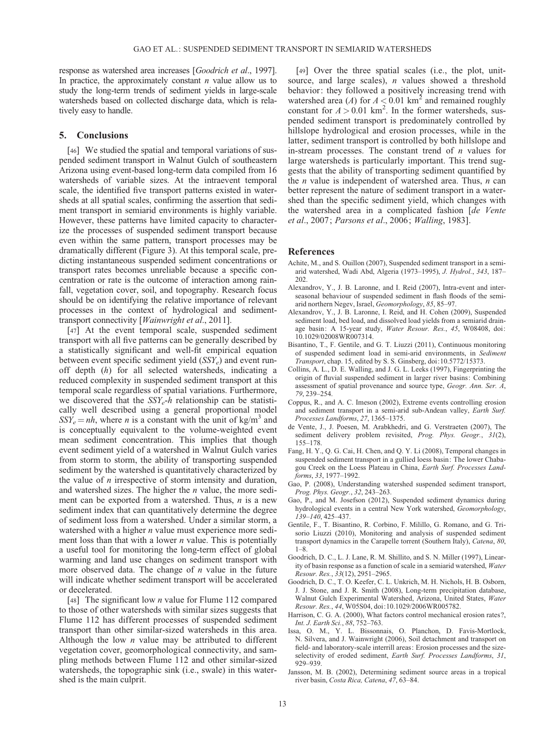response as watershed area increases [Goodrich et al., 1997]. In practice, the approximately constant  $n$  value allow us to study the long-term trends of sediment yields in large-scale watersheds based on collected discharge data, which is relatively easy to handle.

### 5. Conclusions

[46] We studied the spatial and temporal variations of suspended sediment transport in Walnut Gulch of southeastern Arizona using event-based long-term data compiled from 16 watersheds of variable sizes. At the intraevent temporal scale, the identified five transport patterns existed in watersheds at all spatial scales, confirming the assertion that sediment transport in semiarid environments is highly variable. However, these patterns have limited capacity to characterize the processes of suspended sediment transport because even within the same pattern, transport processes may be dramatically different (Figure 3). At this temporal scale, predicting instantaneous suspended sediment concentrations or transport rates becomes unreliable because a specific concentration or rate is the outcome of interaction among rainfall, vegetation cover, soil, and topography. Research focus should be on identifying the relative importance of relevant processes in the context of hydrological and sedimenttransport connectivity [*Wainwright et al.*, 2011].

[47] At the event temporal scale, suspended sediment transport with all five patterns can be generally described by a statistically significant and well-fit empirical equation between event specific sediment yield  $(SSY_e)$  and event runoff depth (h) for all selected watersheds, indicating a reduced complexity in suspended sediment transport at this temporal scale regardless of spatial variations. Furthermore, we discovered that the  $SSY_e-h$  relationship can be statistically well described using a general proportional model  $SSY_e = nh$ , where *n* is a constant with the unit of kg/m<sup>3</sup> and is conceptually equivalent to the volume-weighted event mean sediment concentration. This implies that though event sediment yield of a watershed in Walnut Gulch varies from storm to storm, the ability of transporting suspended sediment by the watershed is quantitatively characterized by the value of  $n$  irrespective of storm intensity and duration, and watershed sizes. The higher the  $n$  value, the more sediment can be exported from a watershed. Thus,  $n$  is a new sediment index that can quantitatively determine the degree of sediment loss from a watershed. Under a similar storm, a watershed with a higher  $n$  value must experience more sediment loss than that with a lower  $n$  value. This is potentially a useful tool for monitoring the long-term effect of global warming and land use changes on sediment transport with more observed data. The change of  $n$  value in the future will indicate whether sediment transport will be accelerated or decelerated.

[48] The significant low  $n$  value for Flume 112 compared to those of other watersheds with similar sizes suggests that Flume 112 has different processes of suspended sediment transport than other similar-sized watersheds in this area. Although the low  $n$  value may be attributed to different vegetation cover, geomorphological connectivity, and sampling methods between Flume 112 and other similar-sized watersheds, the topographic sink (i.e., swale) in this watershed is the main culprit.

[49] Over the three spatial scales (i.e., the plot, unitsource, and large scales),  $n$  values showed a threshold behavior: they followed a positively increasing trend with watershed area (A) for  $A < 0.01$  km<sup>2</sup> and remained roughly constant for  $A > 0.01$  km<sup>2</sup>. In the former watersheds, suspended sediment transport is predominately controlled by hillslope hydrological and erosion processes, while in the latter, sediment transport is controlled by both hillslope and in-stream processes. The constant trend of  $n$  values for large watersheds is particularly important. This trend suggests that the ability of transporting sediment quantified by the  $n$  value is independent of watershed area. Thus,  $n$  can better represent the nature of sediment transport in a watershed than the specific sediment yield, which changes with the watershed area in a complicated fashion [de Vente et al., 2007; Parsons et al., 2006; Walling, 1983].

### References

- Achite, M., and S. Ouillon (2007), Suspended sediment transport in a semiarid watershed, Wadi Abd, Algeria (1973–1995), J. Hydrol., 343, 187– 202.
- Alexandrov, Y., J. B. Laronne, and I. Reid (2007), Intra-event and interseasonal behaviour of suspended sediment in flash floods of the semiarid northern Negev, Israel, Geomorphology, 85, 85–97.
- Alexandrov, Y., J. B. Laronne, I. Reid, and H. Cohen (2009), Suspended sediment load, bed load, and dissolved load yields from a semiarid drainage basin: A 15-year study, Water Resour. Res., 45, W08408, doi: 10.1029/02008WR007314.
- Bisantino, T., F. Gentile, and G. T. Liuzzi (2011), Continuous monitoring of suspended sediment load in semi-arid environments, in Sediment Transport, chap. 15, edited by S. S. Ginsberg, doi:10.5772/15373.
- Collins, A. L., D. E. Walling, and J. G. L. Leeks (1997), Fingerprinting the origin of fluvial suspended sediment in larger river basins: Combining assessment of spatial provenance and source type, Geogr. Ann. Ser. A, 79, 239–254.
- Coppus, R., and A. C. Imeson (2002), Extreme events controlling erosion and sediment transport in a semi-arid sub-Andean valley, Earth Surf. Processes Landforms, 27, 1365–1375.
- de Vente, J., J. Poesen, M. Arabkhedri, and G. Verstraeten (2007), The sediment delivery problem revisited, Prog. Phys. Geogr., 31(2), 155–178.
- Fang, H. Y., Q. G. Cai, H. Chen, and Q. Y. Li (2008), Temporal changes in suspended sediment transport in a gullied loess basin: The lower Chabagou Creek on the Loess Plateau in China, Earth Surf. Processes Landforms, 33, 1977–1992.
- Gao, P. (2008), Understanding watershed suspended sediment transport, Prog. Phys. Geogr., 32, 243–263.
- Gao, P., and M. Josefson (2012), Suspended sediment dynamics during hydrological events in a central New York watershed, Geomorphology, 139–140, 425–437.
- Gentile, F., T. Bisantino, R. Corbino, F. Milillo, G. Romano, and G. Trisorio Liuzzi (2010), Monitoring and analysis of suspended sediment transport dynamics in the Carapelle torrent (Southern Italy), Catena, 80, 1–8.
- Goodrich, D. C., L. J. Lane, R. M. Shillito, and S. N. Miller (1997), Linearity of basin response as a function of scale in a semiarid watershed, Water Resour. Res., 33(12), 2951–2965.
- Goodrich, D. C., T. O. Keefer, C. L. Unkrich, M. H. Nichols, H. B. Osborn, J. J. Stone, and J. R. Smith (2008), Long-term precipitation database, Walnut Gulch Experimental Watershed, Arizona, United States, Water Resour. Res., 44, W05S04, doi:10.1029/2006WR005782.
- Harrison, C. G. A. (2000), What factors control mechanical erosion rates?, Int. J. Earth Sci., 88, 752–763.
- Issa, O. M., Y. L. Bissonnais, O. Planchon, D. Favis-Mortlock, N. Silvera, and J. Wainwright (2006), Soil detachment and transport on field- and laboratory-scale interrill areas: Erosion processes and the sizeselectivity of eroded sediment, Earth Surf. Processes Landforms, 31, 929–939.
- Jansson, M. B. (2002), Determining sediment source areas in a tropical river basin, Costa Rica, Catena, 47, 63–84.